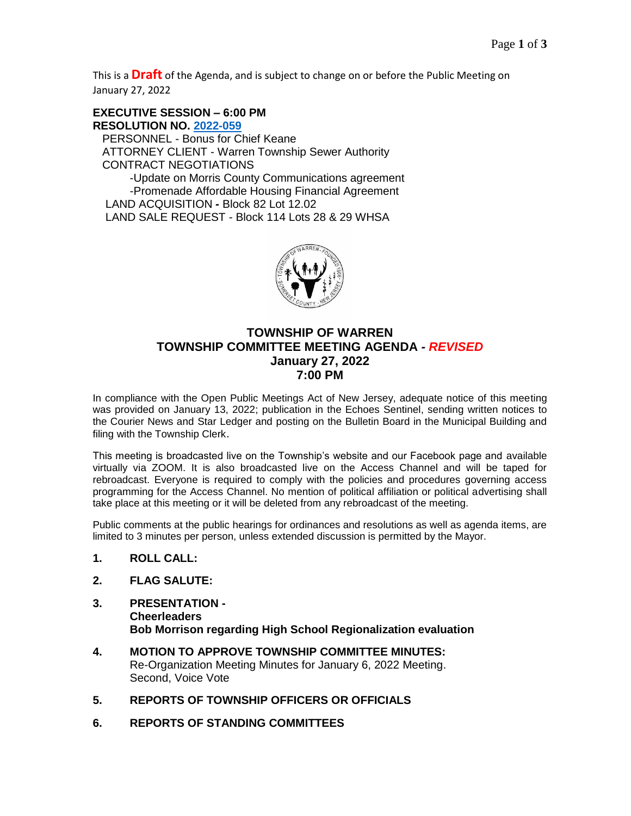This is a **Draft** of the Agenda, and is subject to change on or before the Public Meeting on January 27, 2022

**EXECUTIVE SESSION – 6:00 PM RESOLUTION NO. [2022-059](https://warrennj.org/DocumentCenter/View/5152/2022-059-Executive-Session-January-PDF)** PERSONNEL - Bonus for Chief Keane ATTORNEY CLIENT - Warren Township Sewer Authority CONTRACT NEGOTIATIONS -Update on Morris County Communications agreement -Promenade Affordable Housing Financial Agreement LAND ACQUISITION **-** Block 82 Lot 12.02 LAND SALE REQUEST - Block 114 Lots 28 & 29 WHSA



### **TOWNSHIP OF WARREN TOWNSHIP COMMITTEE MEETING AGENDA** *- REVISED* **January 27, 2022 7:00 PM**

In compliance with the Open Public Meetings Act of New Jersey, adequate notice of this meeting was provided on January 13, 2022; publication in the Echoes Sentinel, sending written notices to the Courier News and Star Ledger and posting on the Bulletin Board in the Municipal Building and filing with the Township Clerk.

This meeting is broadcasted live on the Township's website and our Facebook page and available virtually via ZOOM. It is also broadcasted live on the Access Channel and will be taped for rebroadcast. Everyone is required to comply with the policies and procedures governing access programming for the Access Channel. No mention of political affiliation or political advertising shall take place at this meeting or it will be deleted from any rebroadcast of the meeting.

Public comments at the public hearings for ordinances and resolutions as well as agenda items, are limited to 3 minutes per person, unless extended discussion is permitted by the Mayor.

- **1. ROLL CALL:**
- **2. FLAG SALUTE:**
- **3. PRESENTATION - Cheerleaders Bob Morrison regarding High School Regionalization evaluation**
- **4. MOTION TO APPROVE TOWNSHIP COMMITTEE MINUTES:** Re-Organization Meeting Minutes for January 6, 2022 Meeting. Second, Voice Vote
- **5. REPORTS OF TOWNSHIP OFFICERS OR OFFICIALS**
- **6. REPORTS OF STANDING COMMITTEES**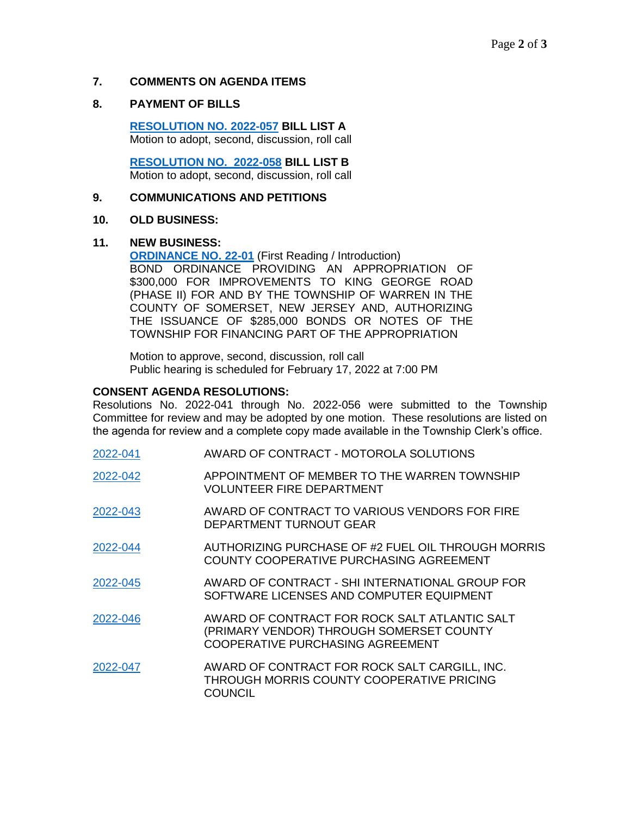### **7. COMMENTS ON AGENDA ITEMS**

### **8. PAYMENT OF BILLS**

**[RESOLUTION NO. 2022-057](https://nj-warrentownship.civicplus.com/DocumentCenter/View/5142/2022-057-BILL-LIST-A-PDF) BILL LIST A** Motion to adopt, second, discussion, roll call

 **[RESOLUTION NO. 2022-058](https://nj-warrentownship.civicplus.com/DocumentCenter/View/5143/2022-058-BILL-LIST-B-PDF) BILL LIST B** Motion to adopt, second, discussion, roll call

#### **9. COMMUNICATIONS AND PETITIONS**

#### **10. OLD BUSINESS:**

#### **11. NEW BUSINESS:**

**[ORDINANCE NO. 22-01](https://nj-warrentownship.civicplus.com/DocumentCenter/View/5146/Ordinance-22-01-Bond-Ord-300000-dollars---King-George-Road-Phase-II-PDF)** (First Reading / Introduction) BOND ORDINANCE PROVIDING AN APPROPRIATION OF \$300,000 FOR IMPROVEMENTS TO KING GEORGE ROAD (PHASE II) FOR AND BY THE TOWNSHIP OF WARREN IN THE COUNTY OF SOMERSET, NEW JERSEY AND, AUTHORIZING THE ISSUANCE OF \$285,000 BONDS OR NOTES OF THE TOWNSHIP FOR FINANCING PART OF THE APPROPRIATION

Motion to approve, second, discussion, roll call Public hearing is scheduled for February 17, 2022 at 7:00 PM

#### **CONSENT AGENDA RESOLUTIONS:**

Resolutions No. 2022-041 through No. 2022-056 were submitted to the Township Committee for review and may be adopted by one motion. These resolutions are listed on the agenda for review and a complete copy made available in the Township Clerk's office.

| 2022-041 | AWARD OF CONTRACT - MOTOROLA SOLUTIONS                                                                                               |
|----------|--------------------------------------------------------------------------------------------------------------------------------------|
| 2022-042 | APPOINTMENT OF MEMBER TO THE WARREN TOWNSHIP<br><b>VOLUNTEER FIRE DEPARTMENT</b>                                                     |
| 2022-043 | AWARD OF CONTRACT TO VARIOUS VENDORS FOR FIRE<br>DEPARTMENT TURNOUT GEAR                                                             |
| 2022-044 | AUTHORIZING PURCHASE OF #2 FUEL OIL THROUGH MORRIS<br>COUNTY COOPERATIVE PURCHASING AGREEMENT                                        |
| 2022-045 | AWARD OF CONTRACT - SHI INTERNATIONAL GROUP FOR<br>SOFTWARE LICENSES AND COMPUTER EQUIPMENT                                          |
| 2022-046 | AWARD OF CONTRACT FOR ROCK SALT ATLANTIC SALT<br>(PRIMARY VENDOR) THROUGH SOMERSET COUNTY<br><b>COOPERATIVE PURCHASING AGREEMENT</b> |
| 2022-047 | AWARD OF CONTRACT FOR ROCK SALT CARGILL, INC.<br>THROUGH MORRIS COUNTY COOPERATIVE PRICING<br><b>COUNCIL</b>                         |